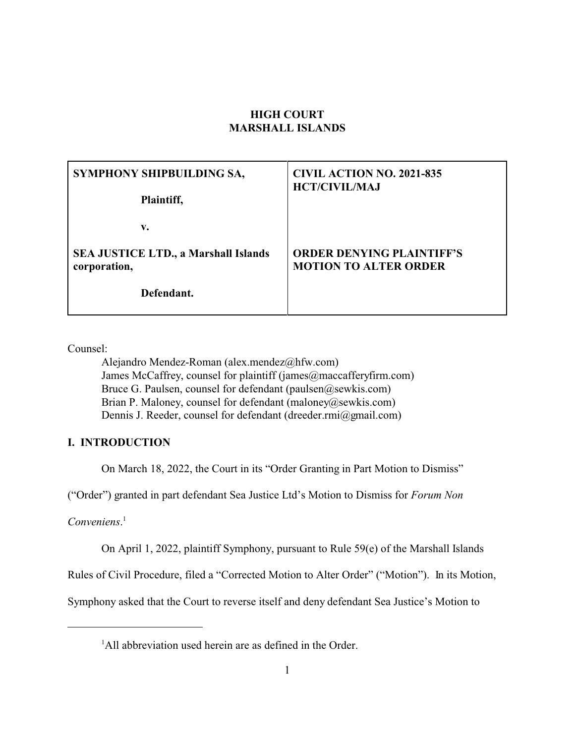## **HIGH COURT MARSHALL ISLANDS**

| SYMPHONY SHIPBUILDING SA,                   | <b>CIVIL ACTION NO. 2021-835</b> |
|---------------------------------------------|----------------------------------|
| Plaintiff,                                  | <b>HCT/CIVIL/MAJ</b>             |
| v.                                          |                                  |
| <b>SEA JUSTICE LTD., a Marshall Islands</b> | <b>ORDER DENYING PLAINTIFF'S</b> |
| corporation,                                | <b>MOTION TO ALTER ORDER</b>     |
| Defendant.                                  |                                  |

Counsel:

Alejandro Mendez-Roman (alex.mendez@hfw.com) James McCaffrey, counsel for plaintiff (james@maccafferyfirm.com) Bruce G. Paulsen, counsel for defendant (paulsen@sewkis.com) Brian P. Maloney, counsel for defendant (maloney@sewkis.com) Dennis J. Reeder, counsel for defendant (dreeder.rmi@gmail.com)

## **I. INTRODUCTION**

On March 18, 2022, the Court in its "Order Granting in Part Motion to Dismiss"

("Order") granted in part defendant Sea Justice Ltd's Motion to Dismiss for *Forum Non*

*Conveniens*. 1

On April 1, 2022, plaintiff Symphony, pursuant to Rule 59(e) of the Marshall Islands

Rules of Civil Procedure, filed a "Corrected Motion to Alter Order" ("Motion"). In its Motion,

Symphony asked that the Court to reverse itself and deny defendant Sea Justice's Motion to

<sup>1</sup>All abbreviation used herein are as defined in the Order.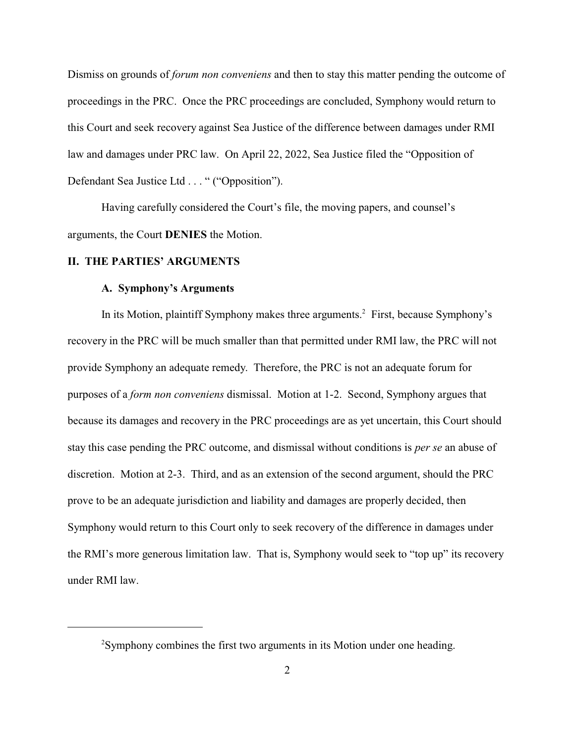Dismiss on grounds of *forum non conveniens* and then to stay this matter pending the outcome of proceedings in the PRC. Once the PRC proceedings are concluded, Symphony would return to this Court and seek recovery against Sea Justice of the difference between damages under RMI law and damages under PRC law. On April 22, 2022, Sea Justice filed the "Opposition of Defendant Sea Justice Ltd . . . " ("Opposition").

Having carefully considered the Court's file, the moving papers, and counsel's arguments, the Court **DENIES** the Motion.

#### **II. THE PARTIES' ARGUMENTS**

#### **A. Symphony's Arguments**

In its Motion, plaintiff Symphony makes three arguments.<sup>2</sup> First, because Symphony's recovery in the PRC will be much smaller than that permitted under RMI law, the PRC will not provide Symphony an adequate remedy. Therefore, the PRC is not an adequate forum for purposes of a *form non conveniens* dismissal. Motion at 1-2. Second, Symphony argues that because its damages and recovery in the PRC proceedings are as yet uncertain, this Court should stay this case pending the PRC outcome, and dismissal without conditions is *per se* an abuse of discretion. Motion at 2-3. Third, and as an extension of the second argument, should the PRC prove to be an adequate jurisdiction and liability and damages are properly decided, then Symphony would return to this Court only to seek recovery of the difference in damages under the RMI's more generous limitation law. That is, Symphony would seek to "top up" its recovery under RMI law.

<sup>2</sup>Symphony combines the first two arguments in its Motion under one heading.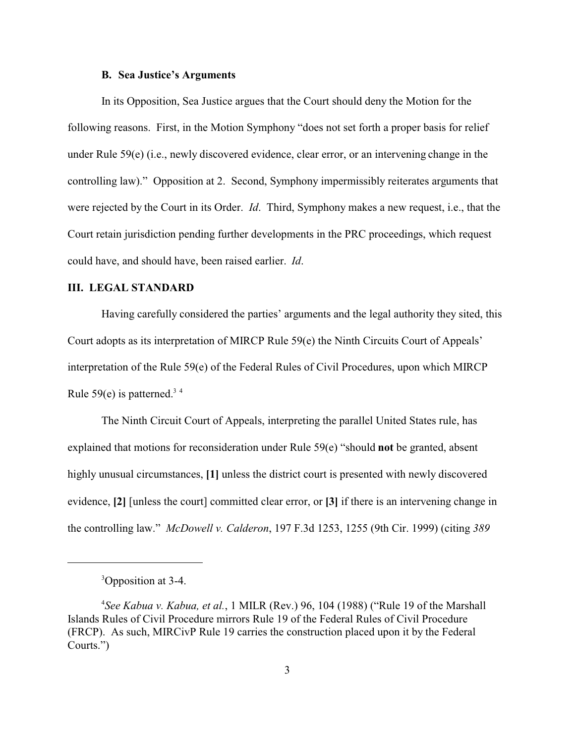#### **B. Sea Justice's Arguments**

In its Opposition, Sea Justice argues that the Court should deny the Motion for the following reasons. First, in the Motion Symphony "does not set forth a proper basis for relief under Rule 59(e) (i.e., newly discovered evidence, clear error, or an intervening change in the controlling law)." Opposition at 2. Second, Symphony impermissibly reiterates arguments that were rejected by the Court in its Order. *Id*. Third, Symphony makes a new request, i.e., that the Court retain jurisdiction pending further developments in the PRC proceedings, which request could have, and should have, been raised earlier. *Id*.

#### **III. LEGAL STANDARD**

Having carefully considered the parties' arguments and the legal authority they sited, this Court adopts as its interpretation of MIRCP Rule 59(e) the Ninth Circuits Court of Appeals' interpretation of the Rule 59(e) of the Federal Rules of Civil Procedures, upon which MIRCP Rule 59(e) is patterned.<sup>34</sup>

The Ninth Circuit Court of Appeals, interpreting the parallel United States rule, has explained that motions for reconsideration under Rule 59(e) "should **not** be granted, absent highly unusual circumstances, **[1]** unless the district court is presented with newly discovered evidence, **[2]** [unless the court] committed clear error, or **[3]** if there is an intervening change in the controlling law." *McDowell v. Calderon*, 197 F.3d 1253, 1255 (9th Cir. 1999) (citing *389*

<sup>&</sup>lt;sup>3</sup>Opposition at 3-4.

<sup>4</sup> *See Kabua v. Kabua, et al.*, 1 MILR (Rev.) 96, 104 (1988) ("Rule 19 of the Marshall Islands Rules of Civil Procedure mirrors Rule 19 of the Federal Rules of Civil Procedure (FRCP). As such, MIRCivP Rule 19 carries the construction placed upon it by the Federal Courts.")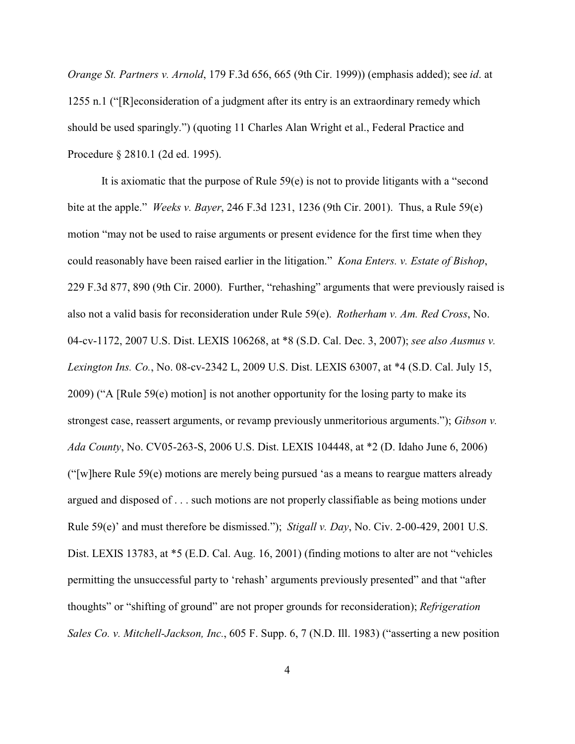*Orange St. Partners v. Arnold*, 179 F.3d 656, 665 (9th Cir. 1999)) (emphasis added); see *id*. at 1255 n.1 ("[R]econsideration of a judgment after its entry is an extraordinary remedy which should be used sparingly.") (quoting 11 Charles Alan Wright et al., Federal Practice and Procedure § 2810.1 (2d ed. 1995).

It is axiomatic that the purpose of Rule 59(e) is not to provide litigants with a "second bite at the apple." *Weeks v. Bayer*, 246 F.3d 1231, 1236 (9th Cir. 2001). Thus, a Rule 59(e) motion "may not be used to raise arguments or present evidence for the first time when they could reasonably have been raised earlier in the litigation." *Kona Enters. v. Estate of Bishop*, 229 F.3d 877, 890 (9th Cir. 2000). Further, "rehashing" arguments that were previously raised is also not a valid basis for reconsideration under Rule 59(e). *Rotherham v. Am. Red Cross*, No. 04-cv-1172, 2007 U.S. Dist. LEXIS 106268, at \*8 (S.D. Cal. Dec. 3, 2007); *see also Ausmus v. Lexington Ins. Co.*, No. 08-cv-2342 L, 2009 U.S. Dist. LEXIS 63007, at \*4 (S.D. Cal. July 15, 2009) ("A [Rule 59(e) motion] is not another opportunity for the losing party to make its strongest case, reassert arguments, or revamp previously unmeritorious arguments."); *Gibson v. Ada County*, No. CV05-263-S, 2006 U.S. Dist. LEXIS 104448, at \*2 (D. Idaho June 6, 2006) ("[w]here Rule 59(e) motions are merely being pursued 'as a means to reargue matters already argued and disposed of . . . such motions are not properly classifiable as being motions under Rule 59(e)' and must therefore be dismissed."); *Stigall v. Day*, No. Civ. 2-00-429, 2001 U.S. Dist. LEXIS 13783, at \*5 (E.D. Cal. Aug. 16, 2001) (finding motions to alter are not "vehicles permitting the unsuccessful party to 'rehash' arguments previously presented" and that "after thoughts" or "shifting of ground" are not proper grounds for reconsideration); *Refrigeration Sales Co. v. Mitchell-Jackson, Inc.*, 605 F. Supp. 6, 7 (N.D. Ill. 1983) ("asserting a new position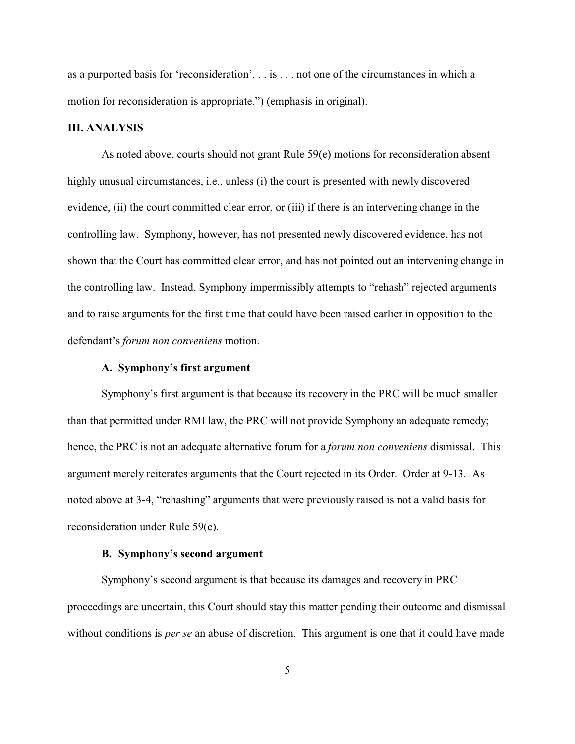as a purported basis for 'reconsideration'. . . is . . . not one of the circumstances in which a motion for reconsideration is appropriate.") (emphasis in original).

#### **III. ANALYSIS**

As noted above, courts should not grant Rule 59(e) motions for reconsideration absent highly unusual circumstances, i.e., unless (i) the court is presented with newly discovered evidence, (ii) the court committed clear error, or (iii) if there is an intervening change in the controlling law. Symphony, however, has not presented newly discovered evidence, has not shown that the Court has committed clear error, and has not pointed out an intervening change in the controlling law. Instead, Symphony impermissibly attempts to "rehash" rejected arguments and to raise arguments for the first time that could have been raised earlier in opposition to the defendant's *forum non conveniens* motion.

#### **A. Symphony's first argument**

Symphony's first argument is that because its recovery in the PRC will be much smaller than that permitted under RMI law, the PRC will not provide Symphony an adequate remedy; hence, the PRC is not an adequate alternative forum for a *forum non conveniens* dismissal. This argument merely reiterates arguments that the Court rejected in its Order. Order at 9-13. As noted above at 3-4, "rehashing" arguments that were previously raised is not a valid basis for reconsideration under Rule 59(e).

#### **B. Symphony's second argument**

Symphony's second argument is that because its damages and recovery in PRC proceedings are uncertain, this Court should stay this matter pending their outcome and dismissal without conditions is *per se* an abuse of discretion. This argument is one that it could have made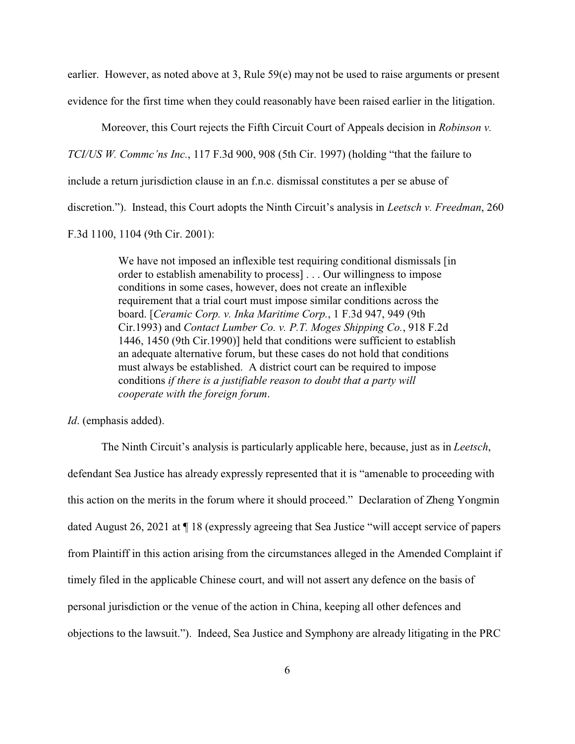earlier. However, as noted above at 3, Rule 59(e) may not be used to raise arguments or present evidence for the first time when they could reasonably have been raised earlier in the litigation.

Moreover, this Court rejects the Fifth Circuit Court of Appeals decision in *Robinson v.*

*TCI/US W. Commc'ns Inc.*, 117 F.3d 900, 908 (5th Cir. 1997) (holding "that the failure to

include a return jurisdiction clause in an f.n.c. dismissal constitutes a per se abuse of

discretion."). Instead, this Court adopts the Ninth Circuit's analysis in *Leetsch v. Freedman*, 260

F.3d 1100, 1104 (9th Cir. 2001):

We have not imposed an inflexible test requiring conditional dismissals [in order to establish amenability to process] . . . Our willingness to impose conditions in some cases, however, does not create an inflexible requirement that a trial court must impose similar conditions across the board. [*Ceramic Corp. v. Inka Maritime Corp.*, 1 F.3d 947, 949 (9th Cir.1993) and *Contact Lumber Co. v. P.T. Moges Shipping Co.*, 918 F.2d 1446, 1450 (9th Cir.1990)] held that conditions were sufficient to establish an adequate alternative forum, but these cases do not hold that conditions must always be established. A district court can be required to impose conditions *if there is a justifiable reason to doubt that a party will cooperate with the foreign forum*.

*Id*. (emphasis added).

The Ninth Circuit's analysis is particularly applicable here, because, just as in *Leetsch*, defendant Sea Justice has already expressly represented that it is "amenable to proceeding with this action on the merits in the forum where it should proceed." Declaration of Zheng Yongmin dated August 26, 2021 at ¶ 18 (expressly agreeing that Sea Justice "will accept service of papers from Plaintiff in this action arising from the circumstances alleged in the Amended Complaint if timely filed in the applicable Chinese court, and will not assert any defence on the basis of personal jurisdiction or the venue of the action in China, keeping all other defences and objections to the lawsuit."). Indeed, Sea Justice and Symphony are already litigating in the PRC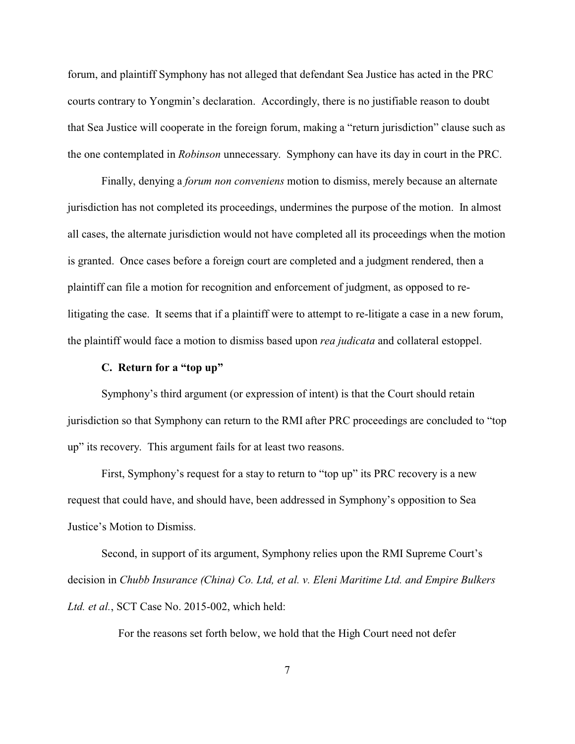forum, and plaintiff Symphony has not alleged that defendant Sea Justice has acted in the PRC courts contrary to Yongmin's declaration. Accordingly, there is no justifiable reason to doubt that Sea Justice will cooperate in the foreign forum, making a "return jurisdiction" clause such as the one contemplated in *Robinson* unnecessary. Symphony can have its day in court in the PRC.

Finally, denying a *forum non conveniens* motion to dismiss, merely because an alternate jurisdiction has not completed its proceedings, undermines the purpose of the motion. In almost all cases, the alternate jurisdiction would not have completed all its proceedings when the motion is granted. Once cases before a foreign court are completed and a judgment rendered, then a plaintiff can file a motion for recognition and enforcement of judgment, as opposed to relitigating the case. It seems that if a plaintiff were to attempt to re-litigate a case in a new forum, the plaintiff would face a motion to dismiss based upon *rea judicata* and collateral estoppel.

### **C. Return for a "top up"**

Symphony's third argument (or expression of intent) is that the Court should retain jurisdiction so that Symphony can return to the RMI after PRC proceedings are concluded to "top up" its recovery. This argument fails for at least two reasons.

First, Symphony's request for a stay to return to "top up" its PRC recovery is a new request that could have, and should have, been addressed in Symphony's opposition to Sea Justice's Motion to Dismiss.

Second, in support of its argument, Symphony relies upon the RMI Supreme Court's decision in *Chubb Insurance (China) Co. Ltd, et al. v. Eleni Maritime Ltd. and Empire Bulkers Ltd. et al.*, SCT Case No. 2015-002, which held:

For the reasons set forth below, we hold that the High Court need not defer

7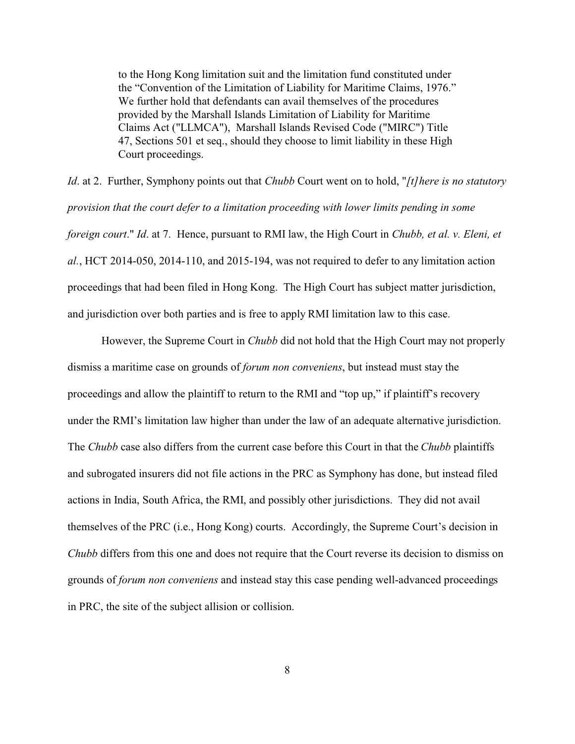to the Hong Kong limitation suit and the limitation fund constituted under the "Convention of the Limitation of Liability for Maritime Claims, 1976." We further hold that defendants can avail themselves of the procedures provided by the Marshall Islands Limitation of Liability for Maritime Claims Act ("LLMCA"), Marshall Islands Revised Code ("MIRC") Title 47, Sections 501 et seq., should they choose to limit liability in these High Court proceedings.

*Id*. at 2. Further, Symphony points out that *Chubb* Court went on to hold, "*[t]here is no statutory provision that the court defer to a limitation proceeding with lower limits pending in some foreign court*." *Id*. at 7. Hence, pursuant to RMI law, the High Court in *Chubb, et al. v. Eleni, et al.*, HCT 2014-050, 2014-110, and 2015-194, was not required to defer to any limitation action proceedings that had been filed in Hong Kong. The High Court has subject matter jurisdiction, and jurisdiction over both parties and is free to apply RMI limitation law to this case.

However, the Supreme Court in *Chubb* did not hold that the High Court may not properly dismiss a maritime case on grounds of *forum non conveniens*, but instead must stay the proceedings and allow the plaintiff to return to the RMI and "top up," if plaintiff's recovery under the RMI's limitation law higher than under the law of an adequate alternative jurisdiction. The *Chubb* case also differs from the current case before this Court in that the *Chubb* plaintiffs and subrogated insurers did not file actions in the PRC as Symphony has done, but instead filed actions in India, South Africa, the RMI, and possibly other jurisdictions. They did not avail themselves of the PRC (i.e., Hong Kong) courts. Accordingly, the Supreme Court's decision in *Chubb* differs from this one and does not require that the Court reverse its decision to dismiss on grounds of *forum non conveniens* and instead stay this case pending well-advanced proceedings in PRC, the site of the subject allision or collision.